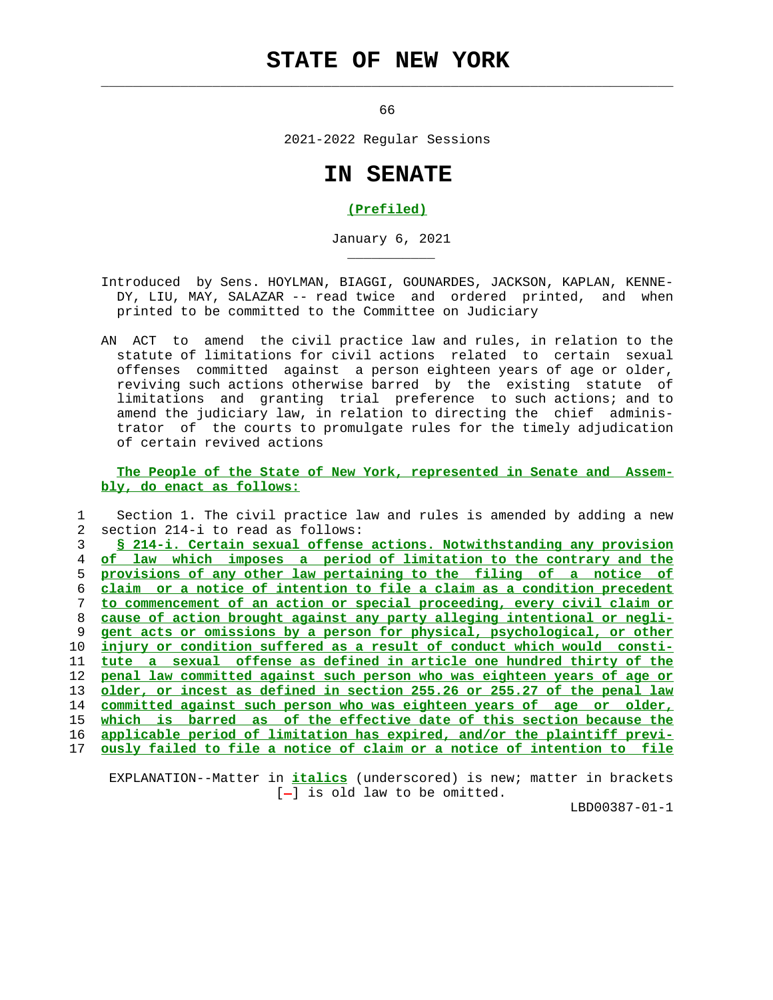## **STATE OF NEW YORK**

 $\mathcal{L}_\text{max} = \frac{1}{2} \sum_{i=1}^{n} \frac{1}{2} \sum_{i=1}^{n} \frac{1}{2} \sum_{i=1}^{n} \frac{1}{2} \sum_{i=1}^{n} \frac{1}{2} \sum_{i=1}^{n} \frac{1}{2} \sum_{i=1}^{n} \frac{1}{2} \sum_{i=1}^{n} \frac{1}{2} \sum_{i=1}^{n} \frac{1}{2} \sum_{i=1}^{n} \frac{1}{2} \sum_{i=1}^{n} \frac{1}{2} \sum_{i=1}^{n} \frac{1}{2} \sum_{i=1}^{n} \frac{1$ 

\_\_\_\_\_\_\_\_\_\_\_

 $66$ 

2021-2022 Regular Sessions

## **IN SENATE**

## **(Prefiled)**

January 6, 2021

- Introduced by Sens. HOYLMAN, BIAGGI, GOUNARDES, JACKSON, KAPLAN, KENNE- DY, LIU, MAY, SALAZAR -- read twice and ordered printed, and when printed to be committed to the Committee on Judiciary
- AN ACT to amend the civil practice law and rules, in relation to the statute of limitations for civil actions related to certain sexual offenses committed against a person eighteen years of age or older, reviving such actions otherwise barred by the existing statute of limitations and granting trial preference to such actions; and to amend the judiciary law, in relation to directing the chief adminis trator of the courts to promulgate rules for the timely adjudication of certain revived actions

 **The People of the State of New York, represented in Senate and Assem bly, do enact as follows:**

 1 Section 1. The civil practice law and rules is amended by adding a new 2 section 214-i to read as follows:

**§ 214-i. Certain sexual offense actions. Notwithstanding any provision of law which imposes a period of limitation to the contrary and the provisions of any other law pertaining to the filing of a notice of claim or a notice of intention to file a claim as a condition precedent to commencement of an action or special proceeding, every civil claim or cause of action brought against any party alleging intentional or negli- gent acts or omissions by a person for physical, psychological, or other injury or condition suffered as a result of conduct which would consti- tute a sexual offense as defined in article one hundred thirty of the penal law committed against such person who was eighteen years of age or older, or incest as defined in section 255.26 or 255.27 of the penal law committed against such person who was eighteen years of age or older, which is barred as of the effective date of this section because the applicable period of limitation has expired, and/or the plaintiff previ- ously failed to file a notice of claim or a notice of intention to file**

 EXPLANATION--Matter in **italics** (underscored) is new; matter in brackets  $[-]$  is old law to be omitted.

LBD00387-01-1